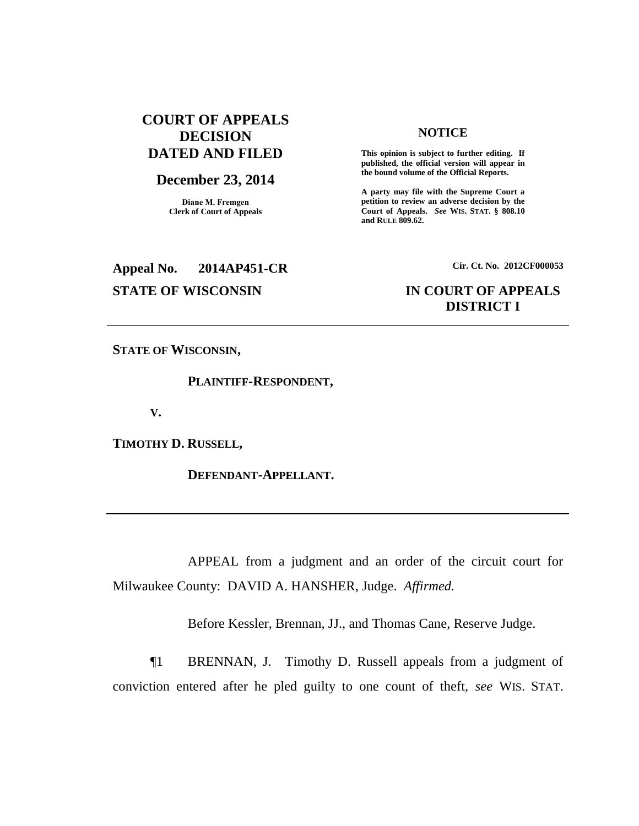# **COURT OF APPEALS DECISION DATED AND FILED**

#### **December 23, 2014**

**Diane M. Fremgen Clerk of Court of Appeals**

### **NOTICE**

**This opinion is subject to further editing. If published, the official version will appear in the bound volume of the Official Reports.** 

**A party may file with the Supreme Court a petition to review an adverse decision by the Court of Appeals.** *See* **WIS. STAT. § 808.10 and RULE 809.62.** 

# **Appeal No. 2014AP451-CR Cir. Ct. No. 2012CF000053**

# **STATE OF WISCONSIN IN COURT OF APPEALS DISTRICT I**

**STATE OF WISCONSIN,**

**PLAINTIFF-RESPONDENT,**

**V.**

**TIMOTHY D. RUSSELL,**

**DEFENDANT-APPELLANT.**

APPEAL from a judgment and an order of the circuit court for Milwaukee County: DAVID A. HANSHER, Judge. *Affirmed.*

Before Kessler, Brennan, JJ., and Thomas Cane, Reserve Judge.

¶1 BRENNAN, J. Timothy D. Russell appeals from a judgment of conviction entered after he pled guilty to one count of theft, *see* WIS. STAT.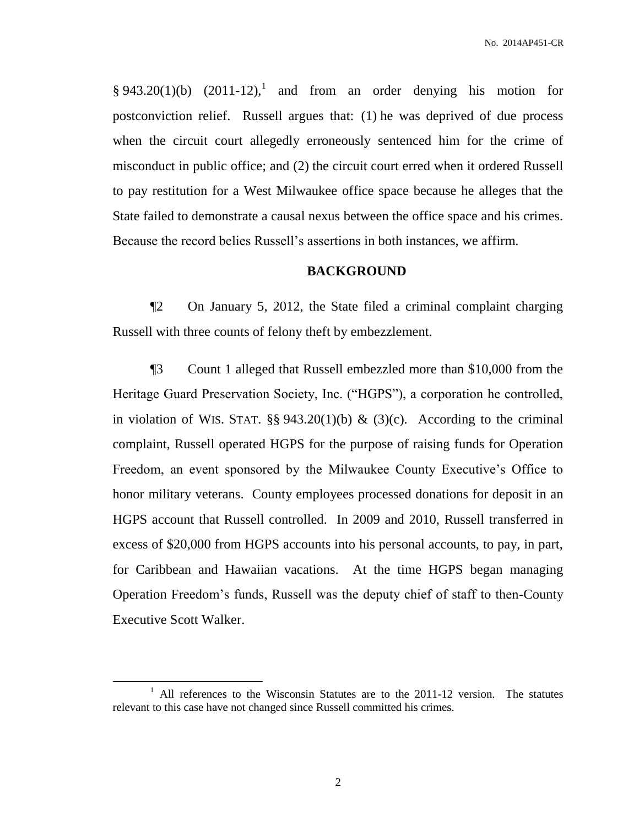§ 943.20(1)(b)  $(2011-12)$ , and from an order denying his motion for postconviction relief. Russell argues that: (1) he was deprived of due process when the circuit court allegedly erroneously sentenced him for the crime of misconduct in public office; and (2) the circuit court erred when it ordered Russell to pay restitution for a West Milwaukee office space because he alleges that the State failed to demonstrate a causal nexus between the office space and his crimes. Because the record belies Russell's assertions in both instances, we affirm.

#### **BACKGROUND**

¶2 On January 5, 2012, the State filed a criminal complaint charging Russell with three counts of felony theft by embezzlement.

¶3 Count 1 alleged that Russell embezzled more than \$10,000 from the Heritage Guard Preservation Society, Inc. ("HGPS"), a corporation he controlled, in violation of WIS. STAT.  $\S$ § 943.20(1)(b) & (3)(c). According to the criminal complaint, Russell operated HGPS for the purpose of raising funds for Operation Freedom, an event sponsored by the Milwaukee County Executive's Office to honor military veterans. County employees processed donations for deposit in an HGPS account that Russell controlled. In 2009 and 2010, Russell transferred in excess of \$20,000 from HGPS accounts into his personal accounts, to pay, in part, for Caribbean and Hawaiian vacations. At the time HGPS began managing Operation Freedom's funds, Russell was the deputy chief of staff to then-County Executive Scott Walker.

 $\overline{a}$ 

<sup>&</sup>lt;sup>1</sup> All references to the Wisconsin Statutes are to the 2011-12 version. The statutes relevant to this case have not changed since Russell committed his crimes.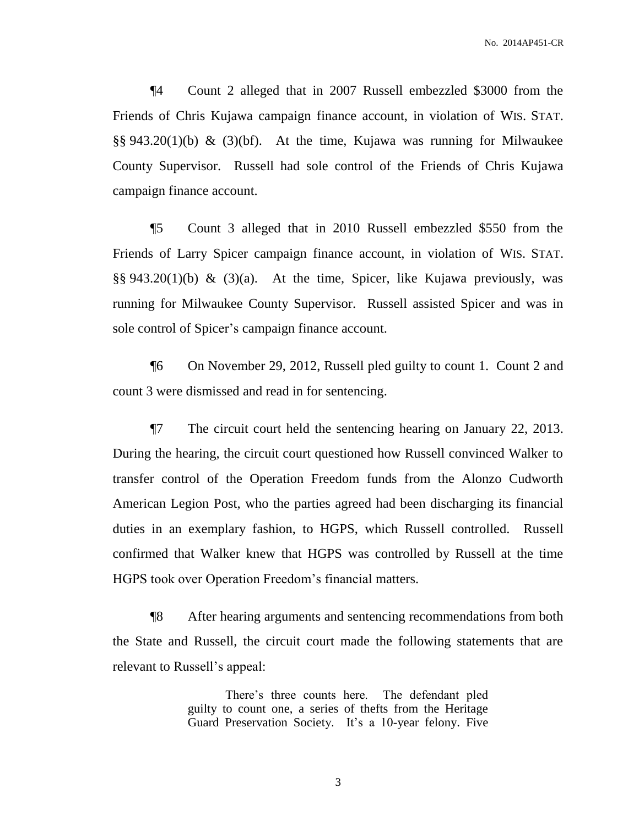¶4 Count 2 alleged that in 2007 Russell embezzled \$3000 from the Friends of Chris Kujawa campaign finance account, in violation of WIS. STAT.  $\S\S 943.20(1)(b)$  & (3)(bf). At the time, Kujawa was running for Milwaukee County Supervisor. Russell had sole control of the Friends of Chris Kujawa campaign finance account.

¶5 Count 3 alleged that in 2010 Russell embezzled \$550 from the Friends of Larry Spicer campaign finance account, in violation of WIS. STAT.  $\S\S 943.20(1)(b)$  & (3)(a). At the time, Spicer, like Kujawa previously, was running for Milwaukee County Supervisor. Russell assisted Spicer and was in sole control of Spicer's campaign finance account.

¶6 On November 29, 2012, Russell pled guilty to count 1. Count 2 and count 3 were dismissed and read in for sentencing.

¶7 The circuit court held the sentencing hearing on January 22, 2013. During the hearing, the circuit court questioned how Russell convinced Walker to transfer control of the Operation Freedom funds from the Alonzo Cudworth American Legion Post, who the parties agreed had been discharging its financial duties in an exemplary fashion, to HGPS, which Russell controlled. Russell confirmed that Walker knew that HGPS was controlled by Russell at the time HGPS took over Operation Freedom's financial matters.

¶8 After hearing arguments and sentencing recommendations from both the State and Russell, the circuit court made the following statements that are relevant to Russell's appeal:

> There's three counts here. The defendant pled guilty to count one, a series of thefts from the Heritage Guard Preservation Society. It's a 10-year felony. Five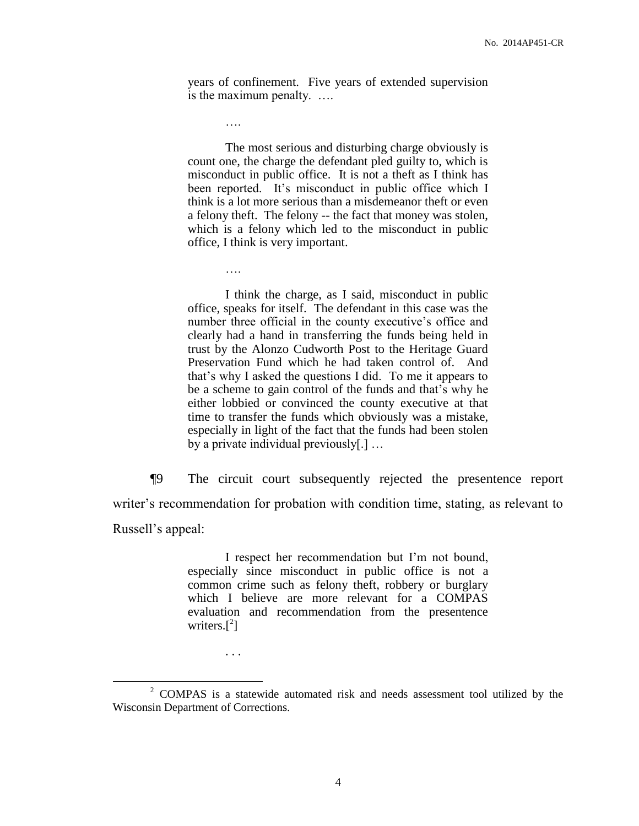years of confinement. Five years of extended supervision is the maximum penalty. ….

The most serious and disturbing charge obviously is count one, the charge the defendant pled guilty to, which is misconduct in public office. It is not a theft as I think has been reported. It's misconduct in public office which I think is a lot more serious than a misdemeanor theft or even a felony theft. The felony -- the fact that money was stolen, which is a felony which led to the misconduct in public office, I think is very important.

I think the charge, as I said, misconduct in public office, speaks for itself. The defendant in this case was the number three official in the county executive's office and clearly had a hand in transferring the funds being held in trust by the Alonzo Cudworth Post to the Heritage Guard Preservation Fund which he had taken control of. And that's why I asked the questions I did. To me it appears to be a scheme to gain control of the funds and that's why he either lobbied or convinced the county executive at that time to transfer the funds which obviously was a mistake, especially in light of the fact that the funds had been stolen by a private individual previously[.] …

¶9 The circuit court subsequently rejected the presentence report writer's recommendation for probation with condition time, stating, as relevant to Russell's appeal:

> I respect her recommendation but I'm not bound, especially since misconduct in public office is not a common crime such as felony theft, robbery or burglary which I believe are more relevant for a COMPAS evaluation and recommendation from the presentence writers.<sup>[2]</sup>

 $\overline{a}$ 

….

….

<sup>. . .</sup>

 $2^2$  COMPAS is a statewide automated risk and needs assessment tool utilized by the Wisconsin Department of Corrections.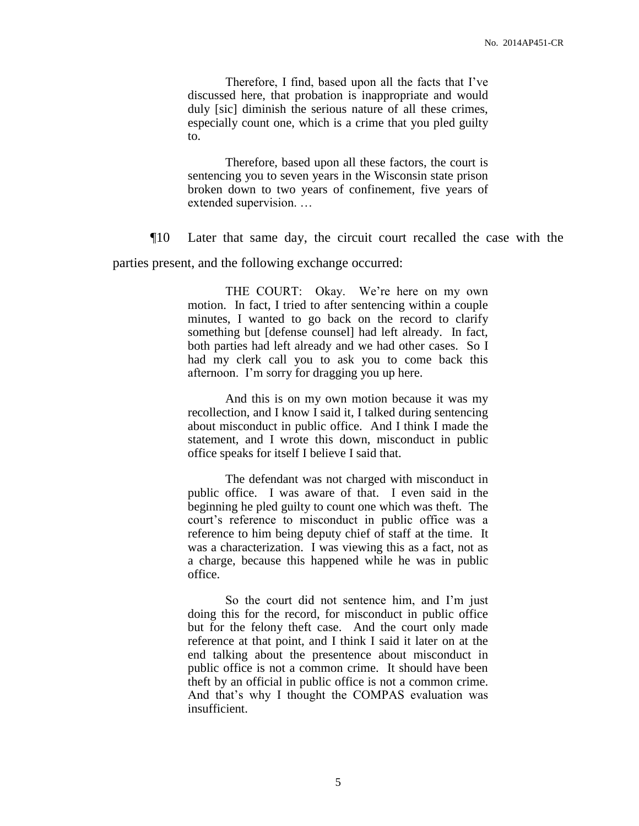Therefore, I find, based upon all the facts that I've discussed here, that probation is inappropriate and would duly [sic] diminish the serious nature of all these crimes, especially count one, which is a crime that you pled guilty to.

Therefore, based upon all these factors, the court is sentencing you to seven years in the Wisconsin state prison broken down to two years of confinement, five years of extended supervision. …

¶10 Later that same day, the circuit court recalled the case with the parties present, and the following exchange occurred:

> THE COURT: Okay. We're here on my own motion. In fact, I tried to after sentencing within a couple minutes, I wanted to go back on the record to clarify something but [defense counsel] had left already. In fact, both parties had left already and we had other cases. So I had my clerk call you to ask you to come back this afternoon. I'm sorry for dragging you up here.

> And this is on my own motion because it was my recollection, and I know I said it, I talked during sentencing about misconduct in public office. And I think I made the statement, and I wrote this down, misconduct in public office speaks for itself I believe I said that.

The defendant was not charged with misconduct in public office. I was aware of that. I even said in the beginning he pled guilty to count one which was theft. The court's reference to misconduct in public office was a reference to him being deputy chief of staff at the time. It was a characterization. I was viewing this as a fact, not as a charge, because this happened while he was in public office.

So the court did not sentence him, and I'm just doing this for the record, for misconduct in public office but for the felony theft case. And the court only made reference at that point, and I think I said it later on at the end talking about the presentence about misconduct in public office is not a common crime. It should have been theft by an official in public office is not a common crime. And that's why I thought the COMPAS evaluation was insufficient.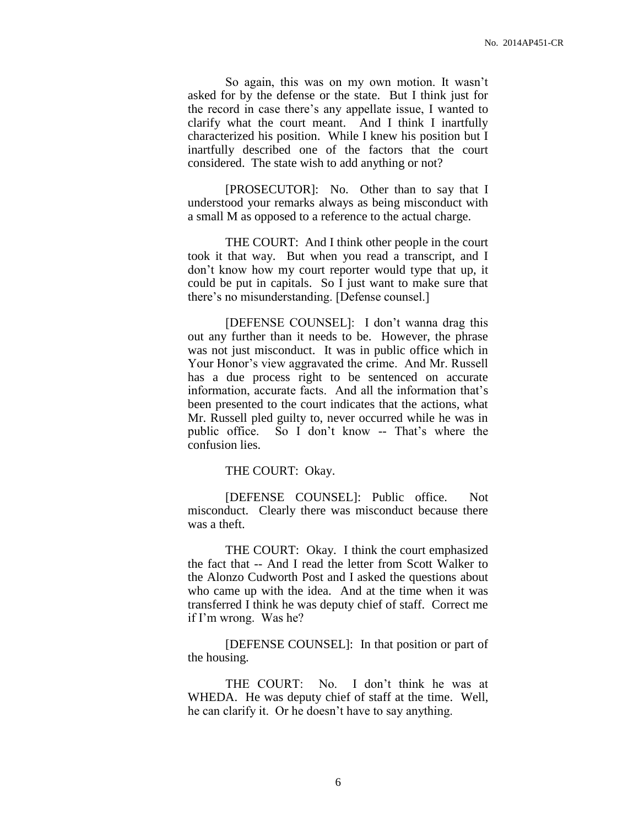So again, this was on my own motion. It wasn't asked for by the defense or the state. But I think just for the record in case there's any appellate issue, I wanted to clarify what the court meant. And I think I inartfully characterized his position. While I knew his position but I inartfully described one of the factors that the court considered. The state wish to add anything or not?

[PROSECUTOR]: No. Other than to say that I understood your remarks always as being misconduct with a small M as opposed to a reference to the actual charge.

THE COURT: And I think other people in the court took it that way. But when you read a transcript, and I don't know how my court reporter would type that up, it could be put in capitals. So I just want to make sure that there's no misunderstanding. [Defense counsel.]

[DEFENSE COUNSEL]: I don't wanna drag this out any further than it needs to be. However, the phrase was not just misconduct. It was in public office which in Your Honor's view aggravated the crime. And Mr. Russell has a due process right to be sentenced on accurate information, accurate facts. And all the information that's been presented to the court indicates that the actions, what Mr. Russell pled guilty to, never occurred while he was in public office. So I don't know -- That's where the confusion lies.

THE COURT: Okay.

[DEFENSE COUNSEL]: Public office. Not misconduct. Clearly there was misconduct because there was a theft.

THE COURT: Okay. I think the court emphasized the fact that -- And I read the letter from Scott Walker to the Alonzo Cudworth Post and I asked the questions about who came up with the idea. And at the time when it was transferred I think he was deputy chief of staff. Correct me if I'm wrong. Was he?

[DEFENSE COUNSEL]: In that position or part of the housing.

THE COURT: No. I don't think he was at WHEDA. He was deputy chief of staff at the time. Well, he can clarify it. Or he doesn't have to say anything.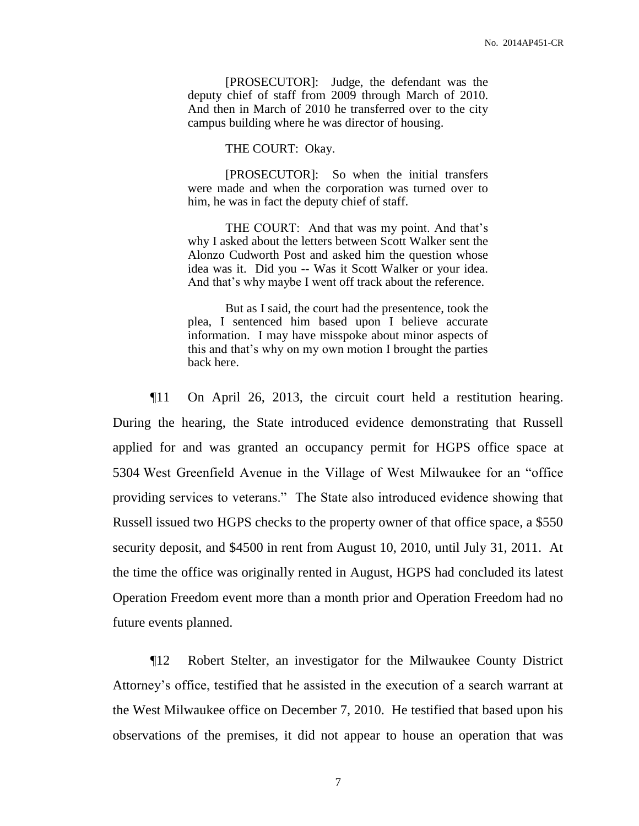[PROSECUTOR]: Judge, the defendant was the deputy chief of staff from 2009 through March of 2010. And then in March of 2010 he transferred over to the city campus building where he was director of housing.

THE COURT: Okay.

[PROSECUTOR]: So when the initial transfers were made and when the corporation was turned over to him, he was in fact the deputy chief of staff.

THE COURT: And that was my point. And that's why I asked about the letters between Scott Walker sent the Alonzo Cudworth Post and asked him the question whose idea was it. Did you -- Was it Scott Walker or your idea. And that's why maybe I went off track about the reference.

But as I said, the court had the presentence, took the plea, I sentenced him based upon I believe accurate information. I may have misspoke about minor aspects of this and that's why on my own motion I brought the parties back here.

¶11 On April 26, 2013, the circuit court held a restitution hearing. During the hearing, the State introduced evidence demonstrating that Russell applied for and was granted an occupancy permit for HGPS office space at 5304 West Greenfield Avenue in the Village of West Milwaukee for an "office providing services to veterans." The State also introduced evidence showing that Russell issued two HGPS checks to the property owner of that office space, a \$550 security deposit, and \$4500 in rent from August 10, 2010, until July 31, 2011. At the time the office was originally rented in August, HGPS had concluded its latest Operation Freedom event more than a month prior and Operation Freedom had no future events planned.

¶12 Robert Stelter, an investigator for the Milwaukee County District Attorney's office, testified that he assisted in the execution of a search warrant at the West Milwaukee office on December 7, 2010. He testified that based upon his observations of the premises, it did not appear to house an operation that was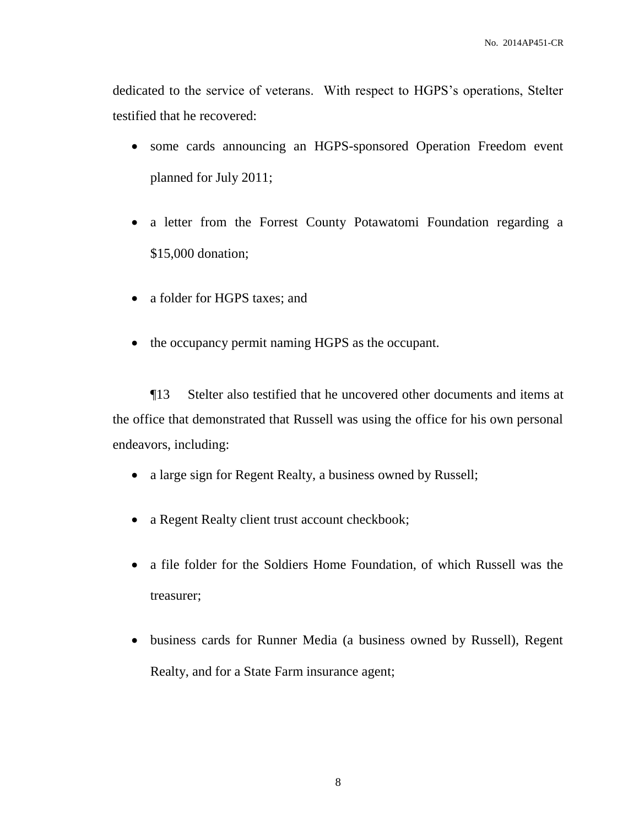dedicated to the service of veterans. With respect to HGPS's operations, Stelter testified that he recovered:

- some cards announcing an HGPS-sponsored Operation Freedom event planned for July 2011;
- a letter from the Forrest County Potawatomi Foundation regarding a \$15,000 donation;
- a folder for HGPS taxes; and
- the occupancy permit naming HGPS as the occupant.

¶13 Stelter also testified that he uncovered other documents and items at the office that demonstrated that Russell was using the office for his own personal endeavors, including:

- a large sign for Regent Realty, a business owned by Russell;
- a Regent Realty client trust account checkbook;
- a file folder for the Soldiers Home Foundation, of which Russell was the treasurer;
- business cards for Runner Media (a business owned by Russell), Regent Realty, and for a State Farm insurance agent;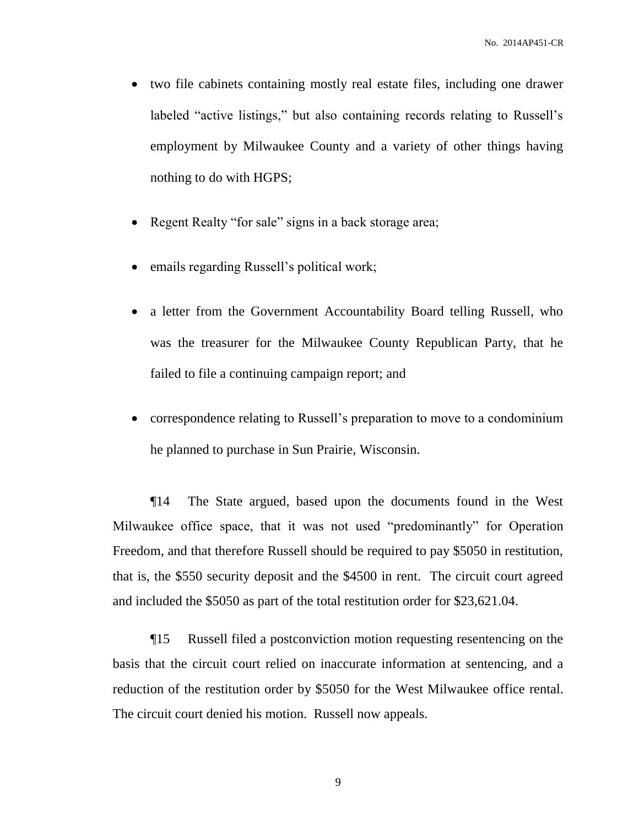- two file cabinets containing mostly real estate files, including one drawer labeled "active listings," but also containing records relating to Russell's employment by Milwaukee County and a variety of other things having nothing to do with HGPS;
- Regent Realty "for sale" signs in a back storage area;
- emails regarding Russell's political work;
- a letter from the Government Accountability Board telling Russell, who was the treasurer for the Milwaukee County Republican Party, that he failed to file a continuing campaign report; and
- correspondence relating to Russell's preparation to move to a condominium he planned to purchase in Sun Prairie, Wisconsin.

¶14 The State argued, based upon the documents found in the West Milwaukee office space, that it was not used "predominantly" for Operation Freedom, and that therefore Russell should be required to pay \$5050 in restitution, that is, the \$550 security deposit and the \$4500 in rent. The circuit court agreed and included the \$5050 as part of the total restitution order for \$23,621.04.

¶15 Russell filed a postconviction motion requesting resentencing on the basis that the circuit court relied on inaccurate information at sentencing, and a reduction of the restitution order by \$5050 for the West Milwaukee office rental. The circuit court denied his motion. Russell now appeals.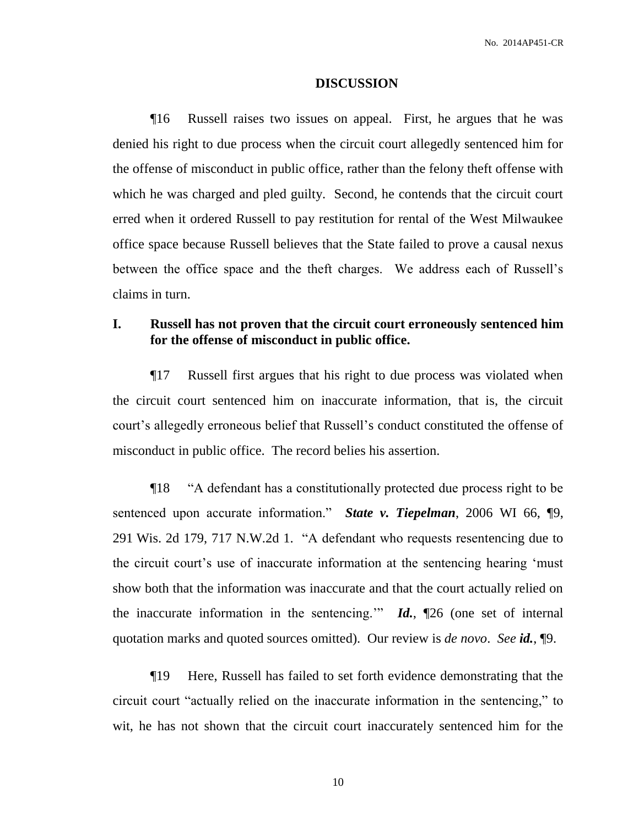#### **DISCUSSION**

¶16 Russell raises two issues on appeal. First, he argues that he was denied his right to due process when the circuit court allegedly sentenced him for the offense of misconduct in public office, rather than the felony theft offense with which he was charged and pled guilty. Second, he contends that the circuit court erred when it ordered Russell to pay restitution for rental of the West Milwaukee office space because Russell believes that the State failed to prove a causal nexus between the office space and the theft charges. We address each of Russell's claims in turn.

### **I. Russell has not proven that the circuit court erroneously sentenced him for the offense of misconduct in public office.**

¶17 Russell first argues that his right to due process was violated when the circuit court sentenced him on inaccurate information, that is, the circuit court's allegedly erroneous belief that Russell's conduct constituted the offense of misconduct in public office. The record belies his assertion.

¶18 "A defendant has a constitutionally protected due process right to be sentenced upon accurate information." *State v. Tiepelman*, 2006 WI 66, ¶9, 291 Wis. 2d 179, 717 N.W.2d 1. "A defendant who requests resentencing due to the circuit court's use of inaccurate information at the sentencing hearing 'must show both that the information was inaccurate and that the court actually relied on the inaccurate information in the sentencing.'" *Id.*, ¶26 (one set of internal quotation marks and quoted sources omitted). Our review is *de novo*. *See id.*, ¶9.

¶19 Here, Russell has failed to set forth evidence demonstrating that the circuit court "actually relied on the inaccurate information in the sentencing," to wit, he has not shown that the circuit court inaccurately sentenced him for the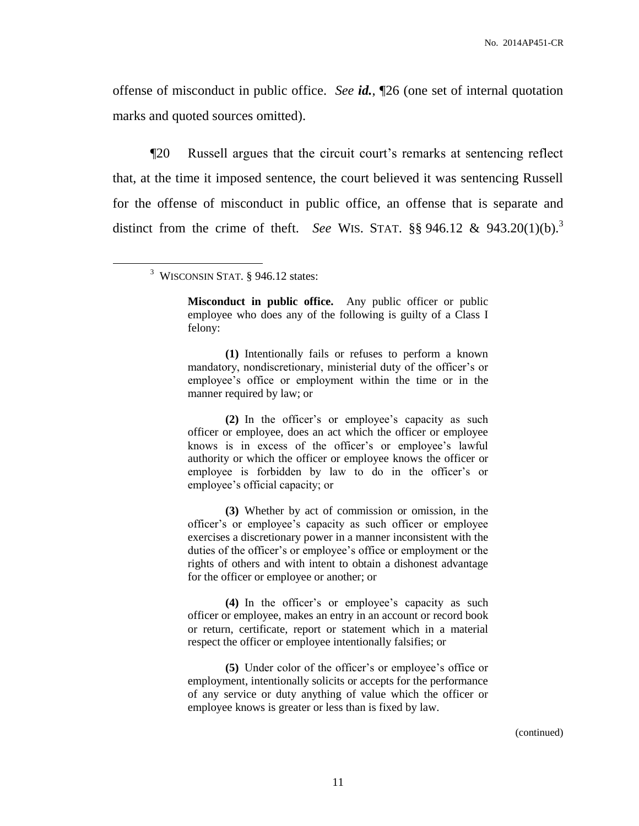offense of misconduct in public office. *See id.*, ¶26 (one set of internal quotation marks and quoted sources omitted).

¶20 Russell argues that the circuit court's remarks at sentencing reflect that, at the time it imposed sentence, the court believed it was sentencing Russell for the offense of misconduct in public office, an offense that is separate and distinct from the crime of theft. *See* WIS. STAT.  $\S\S 946.12 \& 943.20(1)(b).$ <sup>3</sup>

 $\overline{a}$ 

**Misconduct in public office.** Any public officer or public employee who does any of the following is guilty of a Class I felony:

**(1)** Intentionally fails or refuses to perform a known mandatory, nondiscretionary, ministerial duty of the officer's or employee's office or employment within the time or in the manner required by law; or

**(2)** In the officer's or employee's capacity as such officer or employee, does an act which the officer or employee knows is in excess of the officer's or employee's lawful authority or which the officer or employee knows the officer or employee is forbidden by law to do in the officer's or employee's official capacity; or

**(3)** Whether by act of commission or omission, in the officer's or employee's capacity as such officer or employee exercises a discretionary power in a manner inconsistent with the duties of the officer's or employee's office or employment or the rights of others and with intent to obtain a dishonest advantage for the officer or employee or another; or

**(4)** In the officer's or employee's capacity as such officer or employee, makes an entry in an account or record book or return, certificate, report or statement which in a material respect the officer or employee intentionally falsifies; or

**(5)** Under color of the officer's or employee's office or employment, intentionally solicits or accepts for the performance of any service or duty anything of value which the officer or employee knows is greater or less than is fixed by law.

(continued)

<sup>&</sup>lt;sup>3</sup> WISCONSIN STAT. § 946.12 states: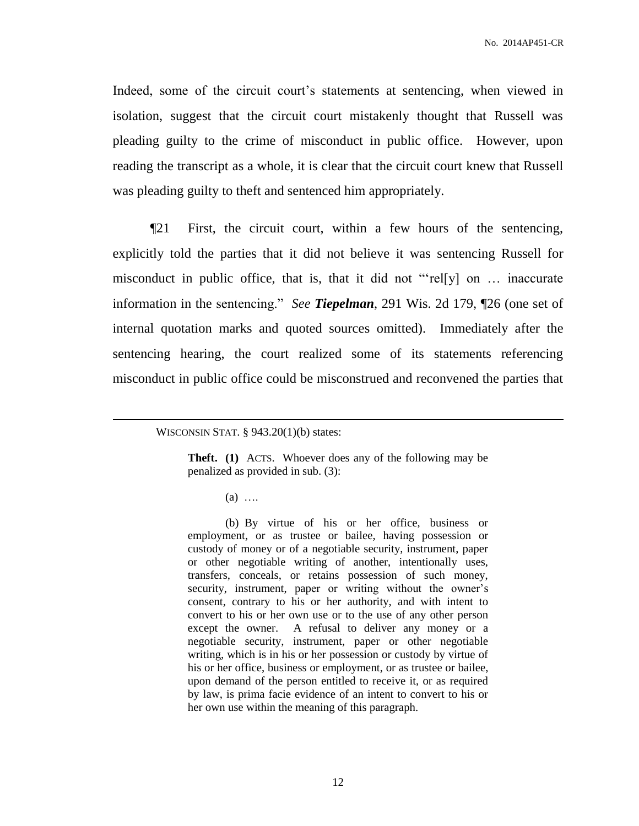No. 2014AP451-CR

Indeed, some of the circuit court's statements at sentencing, when viewed in isolation, suggest that the circuit court mistakenly thought that Russell was pleading guilty to the crime of misconduct in public office. However, upon reading the transcript as a whole, it is clear that the circuit court knew that Russell was pleading guilty to theft and sentenced him appropriately.

¶21 First, the circuit court, within a few hours of the sentencing, explicitly told the parties that it did not believe it was sentencing Russell for misconduct in public office, that is, that it did not "'rel[y] on … inaccurate information in the sentencing." *See Tiepelman*, 291 Wis. 2d 179, ¶26 (one set of internal quotation marks and quoted sources omitted). Immediately after the sentencing hearing, the court realized some of its statements referencing misconduct in public office could be misconstrued and reconvened the parties that

#### WISCONSIN STAT.  $\S$  943.20(1)(b) states:

 $\overline{a}$ 

**Theft. (1)** ACTS. Whoever does any of the following may be penalized as provided in sub. (3):

 $(a)$  …

(b) By virtue of his or her office, business or employment, or as trustee or bailee, having possession or custody of money or of a negotiable security, instrument, paper or other negotiable writing of another, intentionally uses, transfers, conceals, or retains possession of such money, security, instrument, paper or writing without the owner's consent, contrary to his or her authority, and with intent to convert to his or her own use or to the use of any other person except the owner. A refusal to deliver any money or a negotiable security, instrument, paper or other negotiable writing, which is in his or her possession or custody by virtue of his or her office, business or employment, or as trustee or bailee, upon demand of the person entitled to receive it, or as required by law, is prima facie evidence of an intent to convert to his or her own use within the meaning of this paragraph.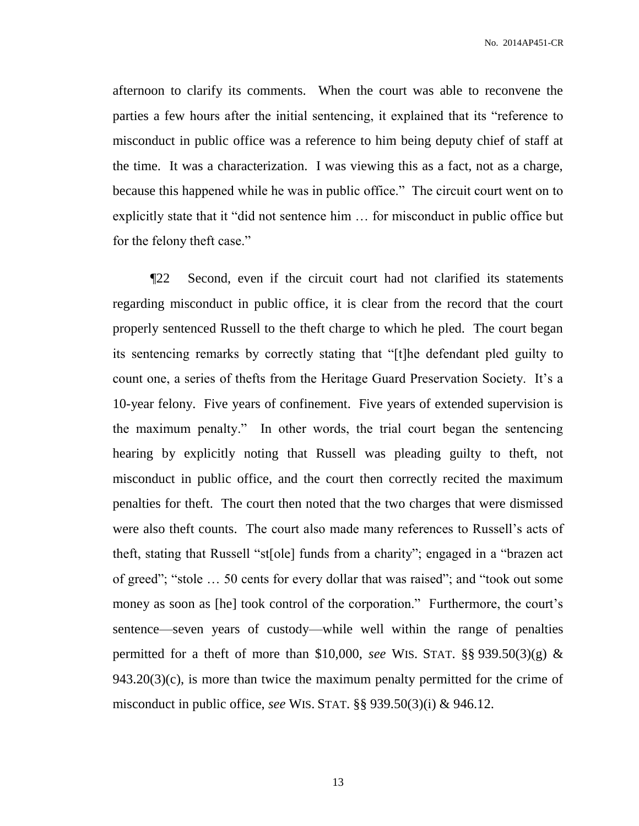No. 2014AP451-CR

afternoon to clarify its comments. When the court was able to reconvene the parties a few hours after the initial sentencing, it explained that its "reference to misconduct in public office was a reference to him being deputy chief of staff at the time. It was a characterization. I was viewing this as a fact, not as a charge, because this happened while he was in public office." The circuit court went on to explicitly state that it "did not sentence him … for misconduct in public office but for the felony theft case."

¶22 Second, even if the circuit court had not clarified its statements regarding misconduct in public office, it is clear from the record that the court properly sentenced Russell to the theft charge to which he pled. The court began its sentencing remarks by correctly stating that "[t]he defendant pled guilty to count one, a series of thefts from the Heritage Guard Preservation Society. It's a 10-year felony. Five years of confinement. Five years of extended supervision is the maximum penalty." In other words, the trial court began the sentencing hearing by explicitly noting that Russell was pleading guilty to theft, not misconduct in public office, and the court then correctly recited the maximum penalties for theft. The court then noted that the two charges that were dismissed were also theft counts. The court also made many references to Russell's acts of theft, stating that Russell "st[ole] funds from a charity"; engaged in a "brazen act of greed"; "stole … 50 cents for every dollar that was raised"; and "took out some money as soon as [he] took control of the corporation." Furthermore, the court's sentence—seven years of custody—while well within the range of penalties permitted for a theft of more than \$10,000, *see* WIS. STAT. §§ 939.50(3)(g) &  $943.20(3)(c)$ , is more than twice the maximum penalty permitted for the crime of misconduct in public office, *see* WIS. STAT. §§ 939.50(3)(i) & 946.12.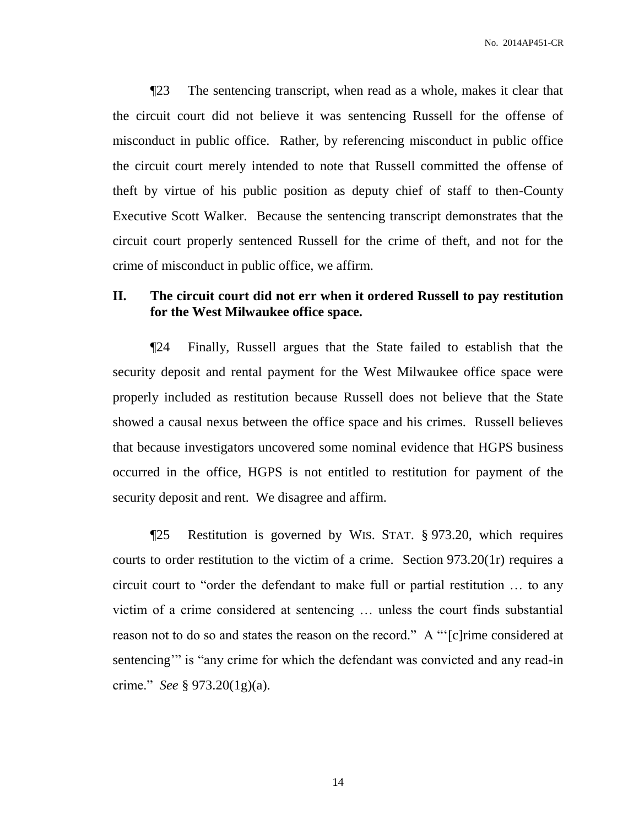¶23 The sentencing transcript, when read as a whole, makes it clear that the circuit court did not believe it was sentencing Russell for the offense of misconduct in public office. Rather, by referencing misconduct in public office the circuit court merely intended to note that Russell committed the offense of theft by virtue of his public position as deputy chief of staff to then-County Executive Scott Walker. Because the sentencing transcript demonstrates that the circuit court properly sentenced Russell for the crime of theft, and not for the crime of misconduct in public office, we affirm.

# **II. The circuit court did not err when it ordered Russell to pay restitution for the West Milwaukee office space.**

¶24 Finally, Russell argues that the State failed to establish that the security deposit and rental payment for the West Milwaukee office space were properly included as restitution because Russell does not believe that the State showed a causal nexus between the office space and his crimes. Russell believes that because investigators uncovered some nominal evidence that HGPS business occurred in the office, HGPS is not entitled to restitution for payment of the security deposit and rent. We disagree and affirm.

¶25 Restitution is governed by WIS. STAT. § 973.20, which requires courts to order restitution to the victim of a crime. Section 973.20(1r) requires a circuit court to "order the defendant to make full or partial restitution … to any victim of a crime considered at sentencing … unless the court finds substantial reason not to do so and states the reason on the record." A "'[c]rime considered at sentencing" is "any crime for which the defendant was convicted and any read-in crime." *See* § 973.20(1g)(a).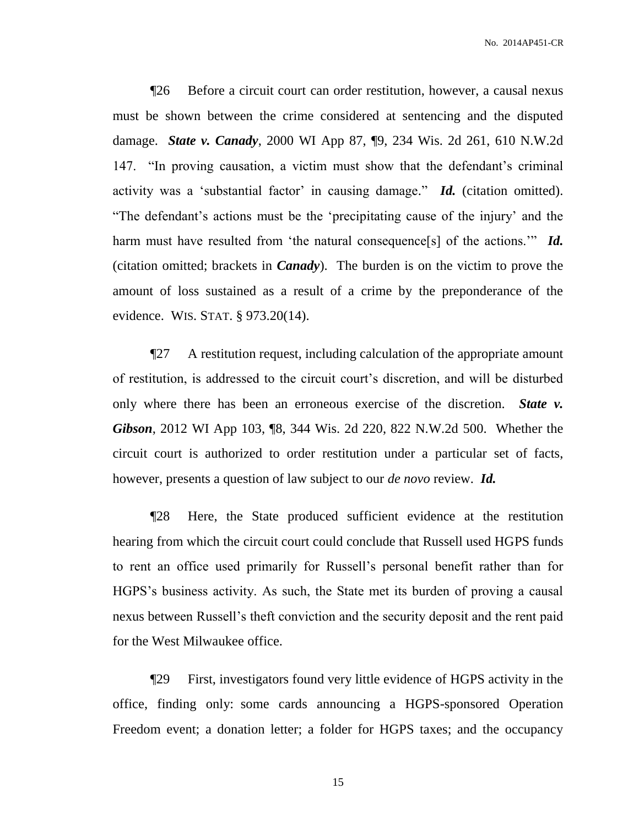No. 2014AP451-CR

¶26 Before a circuit court can order restitution, however, a causal nexus must be shown between the crime considered at sentencing and the disputed damage. *State v. Canady*, 2000 WI App 87, ¶9, 234 Wis. 2d 261, 610 N.W.2d 147. "In proving causation, a victim must show that the defendant's criminal activity was a 'substantial factor' in causing damage." *Id.* (citation omitted). "The defendant's actions must be the 'precipitating cause of the injury' and the harm must have resulted from 'the natural consequence<sup>[s]</sup> of the actions.'" *Id.* (citation omitted; brackets in *Canady*). The burden is on the victim to prove the amount of loss sustained as a result of a crime by the preponderance of the evidence. WIS. STAT. § 973.20(14).

¶27 A restitution request, including calculation of the appropriate amount of restitution, is addressed to the circuit court's discretion, and will be disturbed only where there has been an erroneous exercise of the discretion. *State v. Gibson*, 2012 WI App 103, ¶8, 344 Wis. 2d 220, 822 N.W.2d 500. Whether the circuit court is authorized to order restitution under a particular set of facts, however, presents a question of law subject to our *de novo* review. *Id.*

¶28 Here, the State produced sufficient evidence at the restitution hearing from which the circuit court could conclude that Russell used HGPS funds to rent an office used primarily for Russell's personal benefit rather than for HGPS's business activity. As such, the State met its burden of proving a causal nexus between Russell's theft conviction and the security deposit and the rent paid for the West Milwaukee office.

¶29 First, investigators found very little evidence of HGPS activity in the office, finding only: some cards announcing a HGPS-sponsored Operation Freedom event; a donation letter; a folder for HGPS taxes; and the occupancy